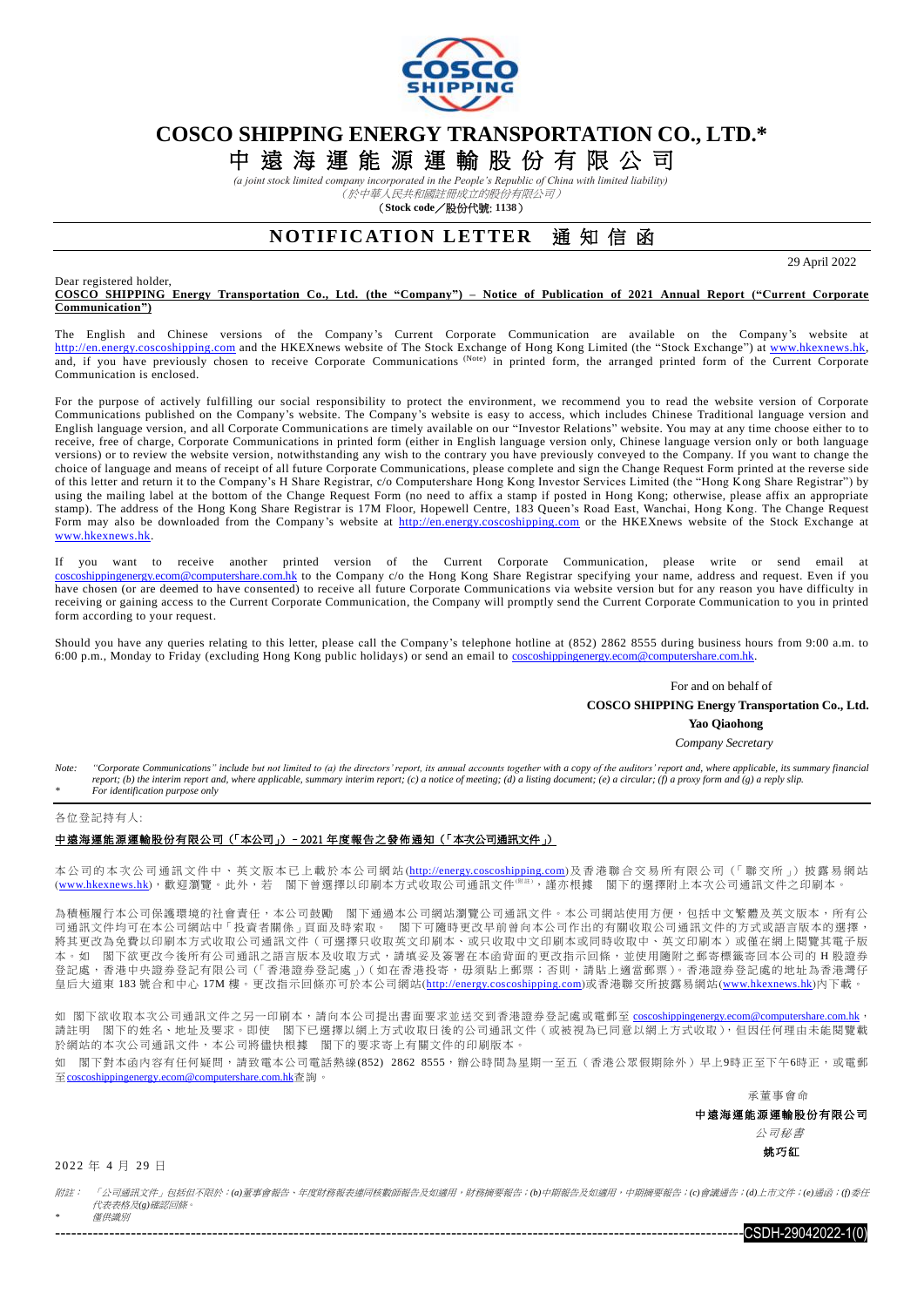

# **COSCO SHIPPING ENERGY TRANSPORTATION CO., LTD.\***

中 遠 海 運 能 源 運 輸 股 份 有 限 公 司

*(a joint stock limited company incorporated in the People's Republic of China with limited liability)* (於中華人民共和國註冊成立的股份有限公司)

(**Stock code**/股份代號: **1138**)

## **NOTIFICATION LETTER** 通知信函

29 April 2022

#### Dear registered holder, **COSCO SHIPPING Energy Transportation Co., Ltd. (the "Company") – Notice of Publication of 2021 Annual Report ("Current Corporate Communication")**

The English and Chinese versions of the Company's Current Corporate Communication are available on the Company's website at [http://en.energy.coscoshipping.com](http://en.energy.coscoshipping.com/) and the HKEXnews website of The Stock Exchange of Hong Kong Limited (the "Stock Exchange") at [www.hkexnews.hk,](http://www.hkexnews.hk/index.htm) and, if you have previously chosen to receive Corporate Communications (Note) in printed form, the arranged printed form of the Current Corporate Communication is enclosed.

For the purpose of actively fulfilling our social responsibility to protect the environment, we recommend you to read the website version of Corporate Communications published on the Company's website. The Company's website is easy to access, which includes Chinese Traditional language version and English language version, and all Corporate Communications are timely available on our "Investor Relations" website. You may at any time choose either to to receive, free of charge, Corporate Communications in printed form (either in English language version only, Chinese language version only or both language versions) or to review the website version, notwithstanding any wish to the contrary you have previously conveyed to the Company. If you want to change the choice of language and means of receipt of all future Corporate Communications, please complete and sign the Change Request Form printed at the reverse side of this letter and return it to the Company's H Share Registrar, c/o Computershare Hong Kong Investor Services Limited (the "Hong Kong Share Registrar") by using the mailing label at the bottom of the Change Request Form (no need to affix a stamp if posted in Hong Kong; otherwise, please affix an appropriate stamp). The address of the Hong Kong Share Registrar is 17M Floor, Hopewell Centre, 183 Queen's Road East, Wanchai, Hong Kong. The Change Request Form may also be downloaded from the Company's website at [http://en.energy.coscoshipping.com](http://en.energy.coscoshipping.com/) or the HKEXnews website of the Stock Exchange at [www.hkexnews.hk.](http://www.hkexnews.hk/index.htm)

If you want to receive another printed version of the Current Corporate Communication, please write or send email at [coscoshippingenergy.ecom@computershare.com.hk](mailto:coscoshippingenergy.ecom@computershare.com.hk) to the Company c/o the Hong Kong Share Registrar specifying your name, address and request. Even if you have chosen (or are deemed to have consented) to receive all future Corporate Communications via website version but for any reason you have difficulty in receiving or gaining access to the Current Corporate Communication, the Company will promptly send the Current Corporate Communication to you in printed form according to your request.

Should you have any queries relating to this letter, please call the Company's telephone hotline at (852) 2862 8555 during business hours from 9:00 a.m. to 6:00 p.m., Monday to Friday (excluding Hong Kong public holidays) or send an email to [coscoshippingenergy.ecom@computershare.com.hk.](mailto:coscoshippingenergy.ecom@computershare.com.hk)

For and on behalf of

 **COSCO SHIPPING Energy Transportation Co., Ltd.**

**Yao Qiaohong**

*Company Secretary*

Note: "Corporate Communications" include but not limited to (a) the directors' report, its annual accounts together with a copy of the auditors' report and, where applicable, its summary financial *report; (b) the interim report and, where applicable, summary interim report; (c) a notice of meeting; (d) a listing document; (e) a circular; (f) a proxy form and (g) a reply slip. \* For identification purpose only*

各位登記持有人:

#### 中遠海運能源運輸股份有限公司(「本公司」)–2021 年度報告之發佈通知(「本次公司通訊文件」)

本公司仍本次公司通訊文件中、英文版本已上載於本公司網站([http://energy.coscoshipping.com](http://energy.coscoshipping.com/))及香港聯合交易所有限公司(「聯交所」) 披露易網站 ([www.hkexnews.hk](http://www.hkexnews.hk/index_c.htm)),歡迎瀏覽。此外,若 閣下曾選擇以印刷本方式收取公司通訊文件(##),謹亦根據 閣下的選擇附上本次公司通訊文件之印刷本。

為積極履行本公司保護環境的社會責任,本公司鼓勵 閣下通過本公司網站瀏覽公司通訊文件。本公司網站使用方便,包括中文繁體及英文版本,所有公 司通訊文件均可在本公司網站中「投資者關係」頁面及時索取。 閣下可隨時更改早前曾向本公司作出的有關收取公司通訊文件的方式或語言版本的選擇, 將其更改為免費以印刷本方式收取公司通訊文件(可選擇只收取英文印刷本、或只收取中文印刷本或同時收取中、英文印刷本)或僅在網上閱覽其電子版 本。如 閣下欲更改今後所有公司通訊之語言版本及收取方式,請填妥及簽署在本函背面的更改指示回條,並使用隨附之郵寄標籤寄回本公司的 H 股證券 登記處,香港中央證券登記有限公司(「香港證券登記處」)(如在香港投寄,毋須貼上郵票;否則,請貼上適當郵票)。香港證券登記處的地址為香港灣仔 皇后大道東 183 號合和中心 17M 樓。更改指示回條亦可於本公司網站([http://energy.coscoshipping.com](http://energy.coscoshipping.com/))或香港聯交所披露易網站([www.hkexnews.hk](http://www.hkexnews.hk/index_c.htm))内下載。

如 閣下欲收取本次公司通訊文件之另一印刷本,請向本公司提出書面要求並送交到香港證券登記處或電郵至 [coscoshippingenergy.ecom@computershare.com.hk](mailto:coscoshippingenergy.ecom@computershare.com.hk), 請註明 閣下的姓名、地址及要求。即使 閣下已選擇以網上方式收取日後的公司通訊文件(或被視為已同意以網上方式收取),但因任何理由未能閱覽載 於網站的本次公司通訊文件,本公司將儘快根據 閣下的要求寄上有關文件的印刷版本

如 閣下對本函內容有任何疑問,請致電本公司電話熱線(852) 2862 8555,辦公時間為星期一至五(香港公眾假期除外)早上9時正至下午6時正,或電郵 至[coscoshippingenergy.ecom@computershare.com.hk](mailto:coscoshippingenergy.ecom@computershare.com.hk)查詢。

承董事會命

中遠海運能源運輸股份有限公司

 公司秘書 姚巧紅

 $-$ CSDH-29042022-1(0)

2 0 22 年 4 月 29 日

附註: 「公司通訊文件」包括但不限於:*(a)*董事會報告、年度財務報表連同核數師報告及如適用,財務摘要報告;*(b)*中期報告及如適用,中期摘要報告;*(c)*會議通告;*(d)*上市文件;*(e)*通函;*(f)*委任 代表表格及*(g)*確認回條。

*\** 僅供識別